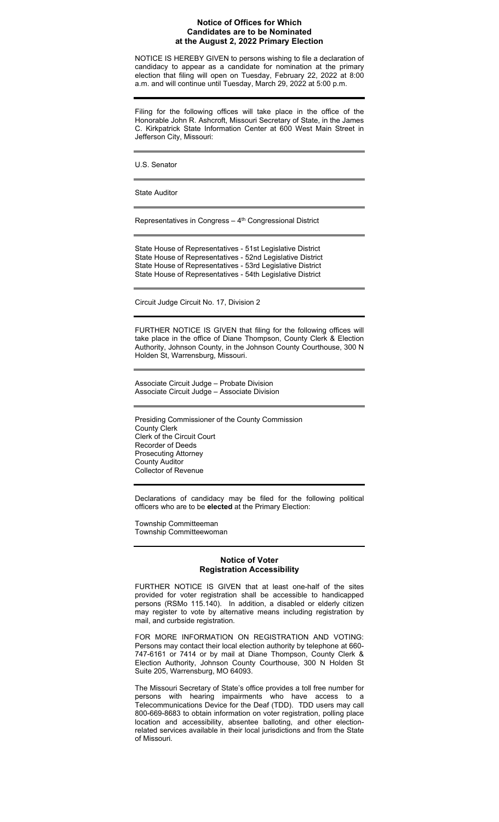## **Notice of Offices for Which Candidates are to be Nominated at the August 2, 2022 Primary Election**

NOTICE IS HEREBY GIVEN to persons wishing to file a declaration of candidacy to appear as a candidate for nomination at the primary election that filing will open on Tuesday, February 22, 2022 at 8:00 a.m. and will continue until Tuesday, March 29, 2022 at 5:00 p.m.

Filing for the following offices will take place in the office of the Honorable John R. Ashcroft, Missouri Secretary of State, in the James C. Kirkpatrick State Information Center at 600 West Main Street in Jefferson City, Missouri:

U.S. Senator

State Auditor

Representatives in Congress  $-4<sup>th</sup>$  Congressional District

State House of Representatives - 51st Legislative District State House of Representatives - 52nd Legislative District State House of Representatives - 53rd Legislative District State House of Representatives - 54th Legislative District

Circuit Judge Circuit No. 17, Division 2

FURTHER NOTICE IS GIVEN that filing for the following offices will take place in the office of Diane Thompson, County Clerk & Election Authority, Johnson County, in the Johnson County Courthouse, 300 N Holden St, Warrensburg, Missouri.

Associate Circuit Judge – Probate Division Associate Circuit Judge – Associate Division

Presiding Commissioner of the County Commission County Clerk Clerk of the Circuit Court Recorder of Deeds Prosecuting Attorney County Auditor Collector of Revenue

Declarations of candidacy may be filed for the following political officers who are to be **elected** at the Primary Election:

Township Committeeman Township Committeewoman

# **Notice of Voter Registration Accessibility**

FURTHER NOTICE IS GIVEN that at least one-half of the sites provided for voter registration shall be accessible to handicapped persons (RSMo 115.140). In addition, a disabled or elderly citizen may register to vote by alternative means including registration by mail, and curbside registration.

FOR MORE INFORMATION ON REGISTRATION AND VOTING: Persons may contact their local election authority by telephone at 660- 747-6161 or 7414 or by mail at Diane Thompson, County Clerk & Election Authority, Johnson County Courthouse, 300 N Holden St Suite 205, Warrensburg, MO 64093.

The Missouri Secretary of State's office provides a toll free number for persons with hearing impairments who have access to a Telecommunications Device for the Deaf (TDD). TDD users may call 800-669-8683 to obtain information on voter registration, polling place location and accessibility, absentee balloting, and other electionrelated services available in their local jurisdictions and from the State of Missouri.